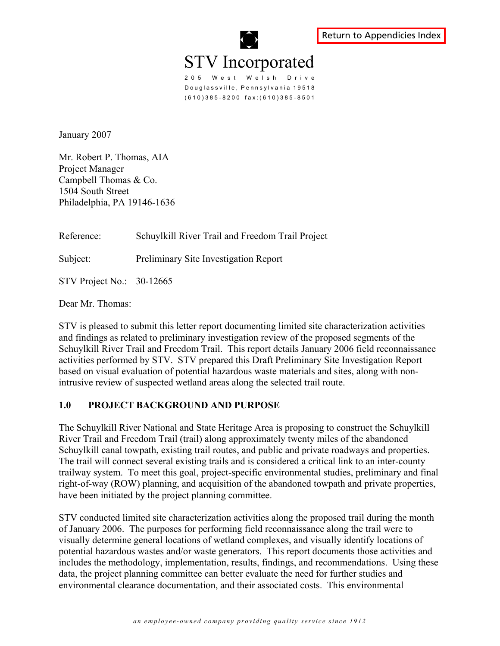

205 West Welsh Drive Douglassville, Pennsylvania 19518 (610)385-8200 fax:(610)385-8501

January 2007

Mr. Robert P. Thomas, AIA Project Manager Campbell Thomas & Co. 1504 South Street Philadelphia, PA 19146-1636

Reference: Schuylkill River Trail and Freedom Trail Project

Subject: Preliminary Site Investigation Report

STV Project No.: 30-12665

Dear Mr. Thomas:

STV is pleased to submit this letter report documenting limited site characterization activities and findings as related to preliminary investigation review of the proposed segments of the Schuylkill River Trail and Freedom Trail. This report details January 2006 field reconnaissance activities performed by STV. STV prepared this Draft Preliminary Site Investigation Report based on visual evaluation of potential hazardous waste materials and sites, along with nonintrusive review of suspected wetland areas along the selected trail route.

#### **1.0 PROJECT BACKGROUND AND PURPOSE**

The Schuylkill River National and State Heritage Area is proposing to construct the Schuylkill River Trail and Freedom Trail (trail) along approximately twenty miles of the abandoned Schuylkill canal towpath, existing trail routes, and public and private roadways and properties. The trail will connect several existing trails and is considered a critical link to an inter-county trailway system. To meet this goal, project-specific environmental studies, preliminary and final right-of-way (ROW) planning, and acquisition of the abandoned towpath and private properties, have been initiated by the project planning committee.

STV conducted limited site characterization activities along the proposed trail during the month of January 2006. The purposes for performing field reconnaissance along the trail were to visually determine general locations of wetland complexes, and visually identify locations of potential hazardous wastes and/or waste generators. This report documents those activities and includes the methodology, implementation, results, findings, and recommendations. Using these data, the project planning committee can better evaluate the need for further studies and environmental clearance documentation, and their associated costs. This environmental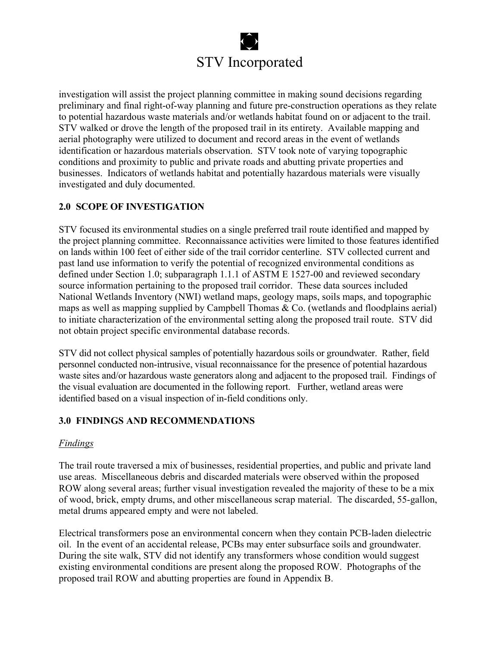investigation will assist the project planning committee in making sound decisions regarding preliminary and final right-of-way planning and future pre-construction operations as they relate to potential hazardous waste materials and/or wetlands habitat found on or adjacent to the trail. STV walked or drove the length of the proposed trail in its entirety. Available mapping and aerial photography were utilized to document and record areas in the event of wetlands identification or hazardous materials observation. STV took note of varying topographic conditions and proximity to public and private roads and abutting private properties and businesses. Indicators of wetlands habitat and potentially hazardous materials were visually investigated and duly documented.

## **2.0 SCOPE OF INVESTIGATION**

STV focused its environmental studies on a single preferred trail route identified and mapped by the project planning committee. Reconnaissance activities were limited to those features identified on lands within 100 feet of either side of the trail corridor centerline. STV collected current and past land use information to verify the potential of recognized environmental conditions as defined under Section 1.0; subparagraph 1.1.1 of ASTM E 1527-00 and reviewed secondary source information pertaining to the proposed trail corridor. These data sources included National Wetlands Inventory (NWI) wetland maps, geology maps, soils maps, and topographic maps as well as mapping supplied by Campbell Thomas  $& Co.$  (wetlands and floodplains aerial) to initiate characterization of the environmental setting along the proposed trail route. STV did not obtain project specific environmental database records.

STV did not collect physical samples of potentially hazardous soils or groundwater. Rather, field personnel conducted non-intrusive, visual reconnaissance for the presence of potential hazardous waste sites and/or hazardous waste generators along and adjacent to the proposed trail. Findings of the visual evaluation are documented in the following report. Further, wetland areas were identified based on a visual inspection of in-field conditions only.

## **3.0 FINDINGS AND RECOMMENDATIONS**

## *Findings*

The trail route traversed a mix of businesses, residential properties, and public and private land use areas. Miscellaneous debris and discarded materials were observed within the proposed ROW along several areas; further visual investigation revealed the majority of these to be a mix of wood, brick, empty drums, and other miscellaneous scrap material. The discarded, 55-gallon, metal drums appeared empty and were not labeled.

Electrical transformers pose an environmental concern when they contain PCB-laden dielectric oil. In the event of an accidental release, PCBs may enter subsurface soils and groundwater. During the site walk, STV did not identify any transformers whose condition would suggest existing environmental conditions are present along the proposed ROW. Photographs of the proposed trail ROW and abutting properties are found in Appendix B.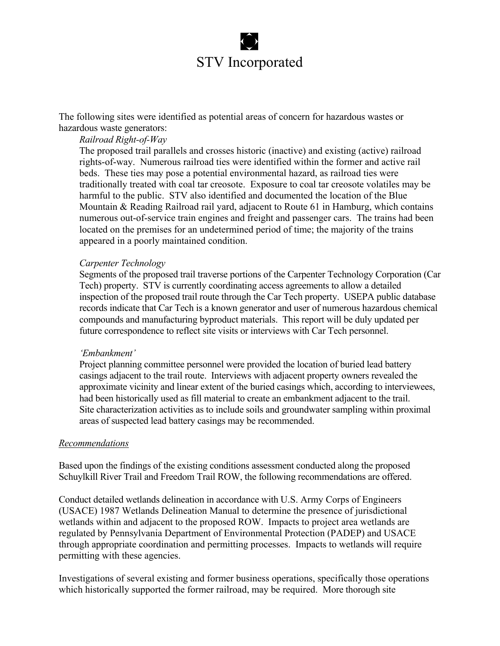The following sites were identified as potential areas of concern for hazardous wastes or hazardous waste generators:

#### *Railroad Right-of-Way*

The proposed trail parallels and crosses historic (inactive) and existing (active) railroad rights-of-way. Numerous railroad ties were identified within the former and active rail beds. These ties may pose a potential environmental hazard, as railroad ties were traditionally treated with coal tar creosote. Exposure to coal tar creosote volatiles may be harmful to the public. STV also identified and documented the location of the Blue Mountain & Reading Railroad rail yard, adjacent to Route 61 in Hamburg, which contains numerous out-of-service train engines and freight and passenger cars. The trains had been located on the premises for an undetermined period of time; the majority of the trains appeared in a poorly maintained condition.

#### *Carpenter Technology*

Segments of the proposed trail traverse portions of the Carpenter Technology Corporation (Car Tech) property. STV is currently coordinating access agreements to allow a detailed inspection of the proposed trail route through the Car Tech property. USEPA public database records indicate that Car Tech is a known generator and user of numerous hazardous chemical compounds and manufacturing byproduct materials. This report will be duly updated per future correspondence to reflect site visits or interviews with Car Tech personnel.

#### *'Embankment'*

Project planning committee personnel were provided the location of buried lead battery casings adjacent to the trail route. Interviews with adjacent property owners revealed the approximate vicinity and linear extent of the buried casings which, according to interviewees, had been historically used as fill material to create an embankment adjacent to the trail. Site characterization activities as to include soils and groundwater sampling within proximal areas of suspected lead battery casings may be recommended.

#### *Recommendations*

Based upon the findings of the existing conditions assessment conducted along the proposed Schuylkill River Trail and Freedom Trail ROW, the following recommendations are offered.

Conduct detailed wetlands delineation in accordance with U.S. Army Corps of Engineers (USACE) 1987 Wetlands Delineation Manual to determine the presence of jurisdictional wetlands within and adjacent to the proposed ROW. Impacts to project area wetlands are regulated by Pennsylvania Department of Environmental Protection (PADEP) and USACE through appropriate coordination and permitting processes. Impacts to wetlands will require permitting with these agencies.

Investigations of several existing and former business operations, specifically those operations which historically supported the former railroad, may be required. More thorough site